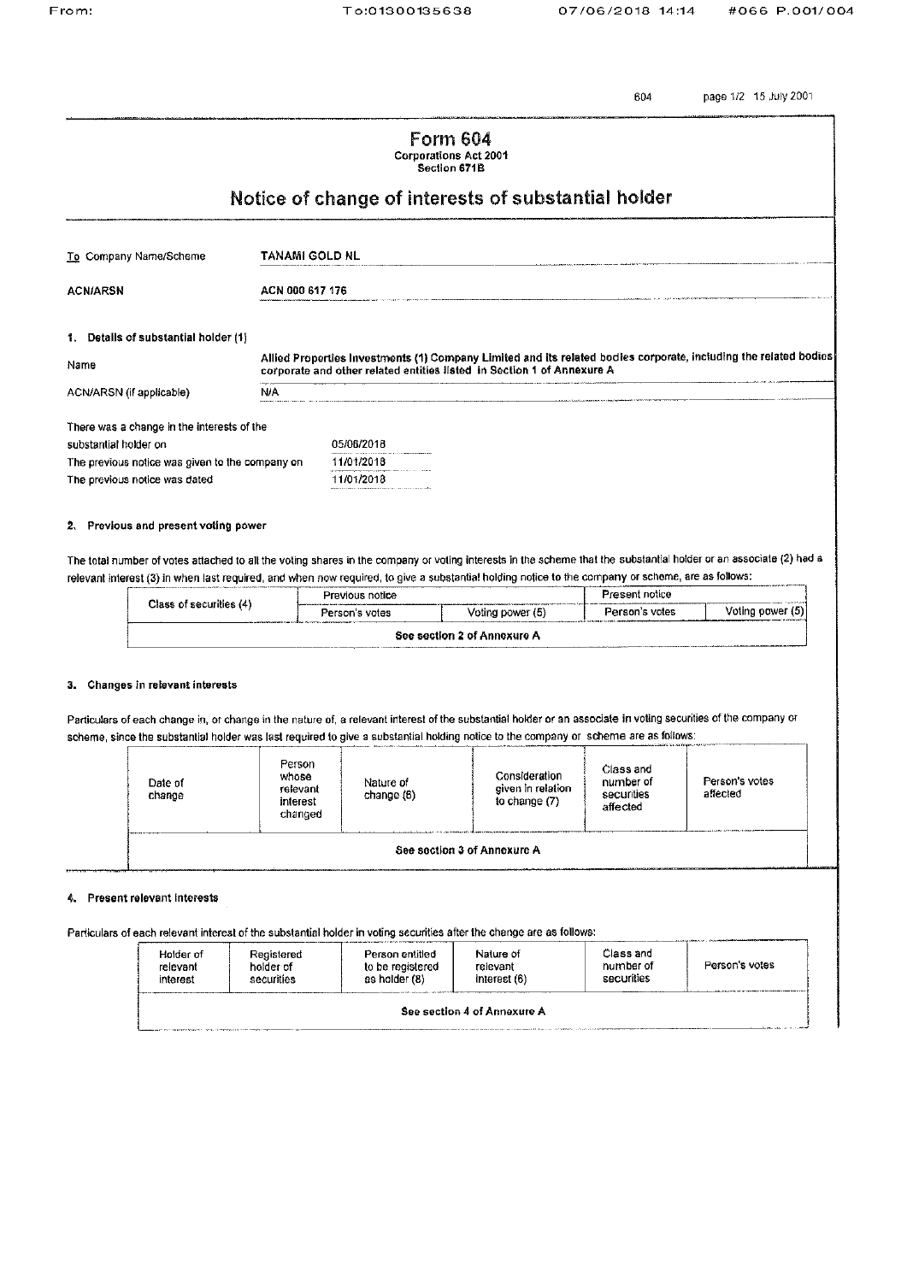604

page 1/2 15 July 2001

|                                                                                                                                                                                                                                                                                                                          |     |                                                                                                                                                                                            | <b>Form 604</b><br><b>Corporations Act 2001</b><br>Section 671B |                |                  |  |  |
|--------------------------------------------------------------------------------------------------------------------------------------------------------------------------------------------------------------------------------------------------------------------------------------------------------------------------|-----|--------------------------------------------------------------------------------------------------------------------------------------------------------------------------------------------|-----------------------------------------------------------------|----------------|------------------|--|--|
|                                                                                                                                                                                                                                                                                                                          |     | Notice of change of interests of substantial holder                                                                                                                                        |                                                                 |                |                  |  |  |
| To Company Name/Scheme                                                                                                                                                                                                                                                                                                   |     | <b>TANAMI GOLD NL</b>                                                                                                                                                                      |                                                                 |                |                  |  |  |
| <b>ACN/ARSN</b>                                                                                                                                                                                                                                                                                                          |     | ACN 000 617 176                                                                                                                                                                            |                                                                 |                |                  |  |  |
| 1. Details of substantial holder (1)                                                                                                                                                                                                                                                                                     |     |                                                                                                                                                                                            |                                                                 |                |                  |  |  |
| Name                                                                                                                                                                                                                                                                                                                     |     | Allied Properties Investments (1) Company Limited and its related bodies corporate, including the related bodies<br>corporate and other related entities listed in Section 1 of Annexure A |                                                                 |                |                  |  |  |
| ACN/ARSN (if applicable)                                                                                                                                                                                                                                                                                                 | N/A |                                                                                                                                                                                            |                                                                 |                |                  |  |  |
| There was a change in the interests of the<br>substantial holder on<br>The previous notice was given to the company on                                                                                                                                                                                                   |     | 05/06/2018<br>11/01/2018                                                                                                                                                                   |                                                                 |                |                  |  |  |
| The previous notice was dated                                                                                                                                                                                                                                                                                            |     | 11/01/2018                                                                                                                                                                                 |                                                                 |                |                  |  |  |
| 2. Previous and present voting power                                                                                                                                                                                                                                                                                     |     |                                                                                                                                                                                            |                                                                 |                |                  |  |  |
| The total number of votes attached to all the voting shares in the company or voting interests in the scheme that the substantial holder or an associate (2) had a<br>relevant interest (3) in when last required, and when now required, to give a substantial holding notice to the company or scheme, are as follows: |     |                                                                                                                                                                                            |                                                                 |                |                  |  |  |
| Class of securities (4)                                                                                                                                                                                                                                                                                                  |     | Previous notice                                                                                                                                                                            |                                                                 | Present notice |                  |  |  |
|                                                                                                                                                                                                                                                                                                                          |     | Person's votes                                                                                                                                                                             | Voting power (5)                                                | Person's votes | Voting power (5) |  |  |
|                                                                                                                                                                                                                                                                                                                          |     |                                                                                                                                                                                            | See section 2 of Annexure A                                     |                |                  |  |  |

## 3. Changes in relevant interests

Particulars of each change in, or change in the nature of, a relevant interest of the substantial holder or an associate in voting securities of the company or scheme, since the substantial holder was last required to give a substantial holding notice to the company or scheme are as follows:

| Date of<br>change                                | Person<br>whose<br>relevant<br>interest<br>changed | Nature of<br>change (6) | Consideration<br>given in relation<br>to change (7) | Class and<br>number of<br>securities<br>affected | Person's votes<br>affected |  |  |
|--------------------------------------------------|----------------------------------------------------|-------------------------|-----------------------------------------------------|--------------------------------------------------|----------------------------|--|--|
| <b>THE REPORT</b><br>See section 3 of Annexure A |                                                    |                         |                                                     |                                                  |                            |  |  |

## 4. Present relevant interests

Particulars of each relevant interest of the substantial holder in voting securities after the change are as follows:

| Holder of<br>relevant<br>interest                                                                                                             | Registered<br>holder of<br>securities | Person entitled<br>to be registered<br>as holder (8) | Nature of<br>relevant<br>interest (6) | Class and<br>number of<br>securities | the contract of the contract of the contract of the contract of the contract of the contract of the contract of<br>Person's votes |  |
|-----------------------------------------------------------------------------------------------------------------------------------------------|---------------------------------------|------------------------------------------------------|---------------------------------------|--------------------------------------|-----------------------------------------------------------------------------------------------------------------------------------|--|
| See section 4 of Annexure A<br>adalah anal tahun 1990 dan 2000 dan kanya kapasaran mengajukan di terbentuk mengentuk mengentuk menempukan men |                                       |                                                      |                                       |                                      |                                                                                                                                   |  |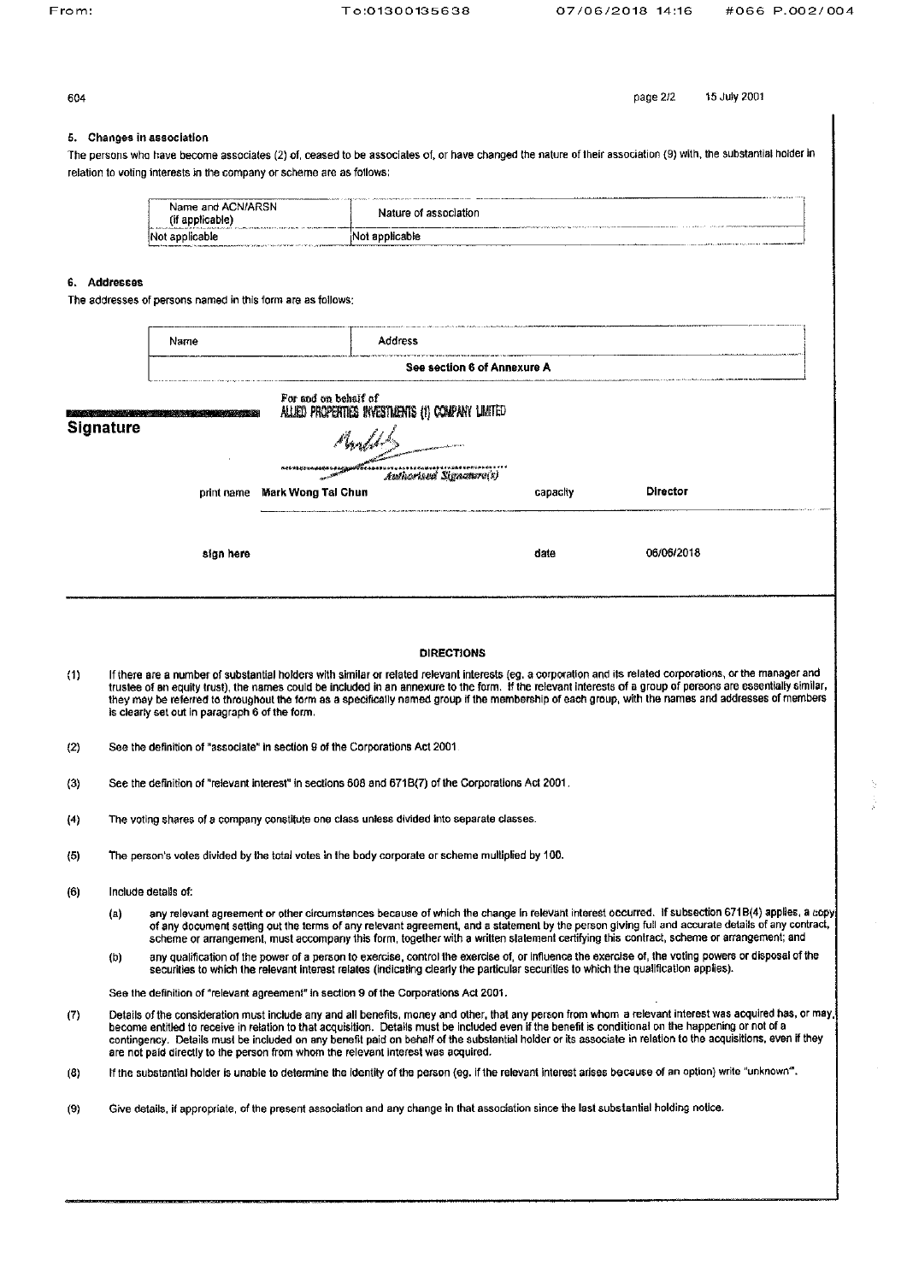604

page 2/2

15 July 2001

## 5. Changes in association

The persons who have become associates (2) of, ceased to be associates of, or have changed the nature of their association (9) with, the substantial holder in relation to voting interests in the company or scheme are as follows:

| Name and ACN/ARSN                     |                                                                                                                                   |
|---------------------------------------|-----------------------------------------------------------------------------------------------------------------------------------|
| (if applicable)                       |                                                                                                                                   |
| <b>Barnet Address Address Address</b> | Nature of association                                                                                                             |
| Not applicable                        | Not applicable<br>the contract of the contract of the contract of the contract of the contract of the contract of the contract of |

## 6. Addresses

The addresses of persons named in this form are as follows:

|     |                  | Name                                                                                                |                      | Address                                          |                                                                                                                                      |                                                                                                                                                                                                                                                                                                                                                                                                                                                                                    |  |
|-----|------------------|-----------------------------------------------------------------------------------------------------|----------------------|--------------------------------------------------|--------------------------------------------------------------------------------------------------------------------------------------|------------------------------------------------------------------------------------------------------------------------------------------------------------------------------------------------------------------------------------------------------------------------------------------------------------------------------------------------------------------------------------------------------------------------------------------------------------------------------------|--|
|     |                  |                                                                                                     |                      |                                                  | See section 6 of Annexure A                                                                                                          |                                                                                                                                                                                                                                                                                                                                                                                                                                                                                    |  |
|     | <b>Signature</b> |                                                                                                     | For and on behalf of | ALLED PROPERTIES INVESTMENTS (1) COMPANY LIMITED |                                                                                                                                      |                                                                                                                                                                                                                                                                                                                                                                                                                                                                                    |  |
|     |                  |                                                                                                     |                      |                                                  |                                                                                                                                      |                                                                                                                                                                                                                                                                                                                                                                                                                                                                                    |  |
|     |                  |                                                                                                     | Add & Ball Famous    | Authorised Signature(s)                          |                                                                                                                                      |                                                                                                                                                                                                                                                                                                                                                                                                                                                                                    |  |
|     |                  | print name                                                                                          | Mark Wong Tai Chun   |                                                  | capacity                                                                                                                             | Director                                                                                                                                                                                                                                                                                                                                                                                                                                                                           |  |
|     |                  | sign here                                                                                           |                      |                                                  | date                                                                                                                                 | 06/06/2018                                                                                                                                                                                                                                                                                                                                                                                                                                                                         |  |
|     |                  |                                                                                                     |                      |                                                  |                                                                                                                                      |                                                                                                                                                                                                                                                                                                                                                                                                                                                                                    |  |
|     |                  |                                                                                                     |                      | <b>DIRECTIONS</b>                                |                                                                                                                                      |                                                                                                                                                                                                                                                                                                                                                                                                                                                                                    |  |
| (1) |                  | is clearly set out in paragraph 6 of the form.                                                      |                      |                                                  |                                                                                                                                      | If there are a number of substantial holders with similar or related relevant interests (eg. a corporation and its related corporations, or the manager and<br>trustee of an equity trust), the names could be included in an annexure to the form. If the relevant interests of a group of persons are essentially similar,<br>they may be referred to throughout the form as a specifically named group if the membership of each group, with the names and addresses of members |  |
| (2) |                  | See the definition of "associate" in section 9 of the Corporations Act 2001.                        |                      |                                                  |                                                                                                                                      |                                                                                                                                                                                                                                                                                                                                                                                                                                                                                    |  |
| (3) |                  | See the definition of "relevant interest" in sections 608 and 671B(7) of the Corporations Act 2001. |                      |                                                  |                                                                                                                                      |                                                                                                                                                                                                                                                                                                                                                                                                                                                                                    |  |
| (4) |                  | The voting shares of a company constitute one class unless divided into separate classes.           |                      |                                                  |                                                                                                                                      |                                                                                                                                                                                                                                                                                                                                                                                                                                                                                    |  |
| (5) |                  | The person's votes divided by the total votes in the body corporate or scheme multiplied by 100.    |                      |                                                  |                                                                                                                                      |                                                                                                                                                                                                                                                                                                                                                                                                                                                                                    |  |
| (6) |                  | Include details of:                                                                                 |                      |                                                  |                                                                                                                                      |                                                                                                                                                                                                                                                                                                                                                                                                                                                                                    |  |
|     | (a)              |                                                                                                     |                      |                                                  |                                                                                                                                      | any relevant agreement or other circumstances because of which the change in relevant interest occurred. If subsection 671B(4) applies, a copy<br>of any document setting out the terms of any relevant agreement, and a statement by the person giving full and accurate details of any contract,<br>scheme or arrangement, must accompany this form, together with a written statement certifying this contract, scheme or arrangement; and                                      |  |
|     | (b)              |                                                                                                     |                      |                                                  | securities to which the relevant interest relates (indicating clearly the particular securities to which the qualification applies). | any qualification of the power of a person to exercise, control the exercise of, or influence the exercise of, the voting powers or disposal of the                                                                                                                                                                                                                                                                                                                                |  |
|     |                  | See the definition of "relevant agreement" in section 9 of the Corporations Act 2001.               |                      |                                                  |                                                                                                                                      |                                                                                                                                                                                                                                                                                                                                                                                                                                                                                    |  |
| (7) |                  | are not paid directly to the person from whom the relevant interest was acquired.                   |                      |                                                  |                                                                                                                                      | Details of the consideration must include any and all benefits, money and other, that any person from whom a relevant interest was acquired has, or may<br>become entitled to receive in relation to that acquisition. Details must be included even if the benefit is conditional on the happening or not of a<br>contingency. Details must be included on any benefit paid on behalf of the substantial holder or its associate in relation to the acquisitions, even if they    |  |
|     |                  |                                                                                                     |                      |                                                  |                                                                                                                                      |                                                                                                                                                                                                                                                                                                                                                                                                                                                                                    |  |

 $(8)$ If the substantial holder is unable to determine the identity of the person (eg. if the relevant interest arises because of an option) write "unknown".

 $(9)$ Give details, if appropriate, of the present association and any change in that association since the last substantial holding notice.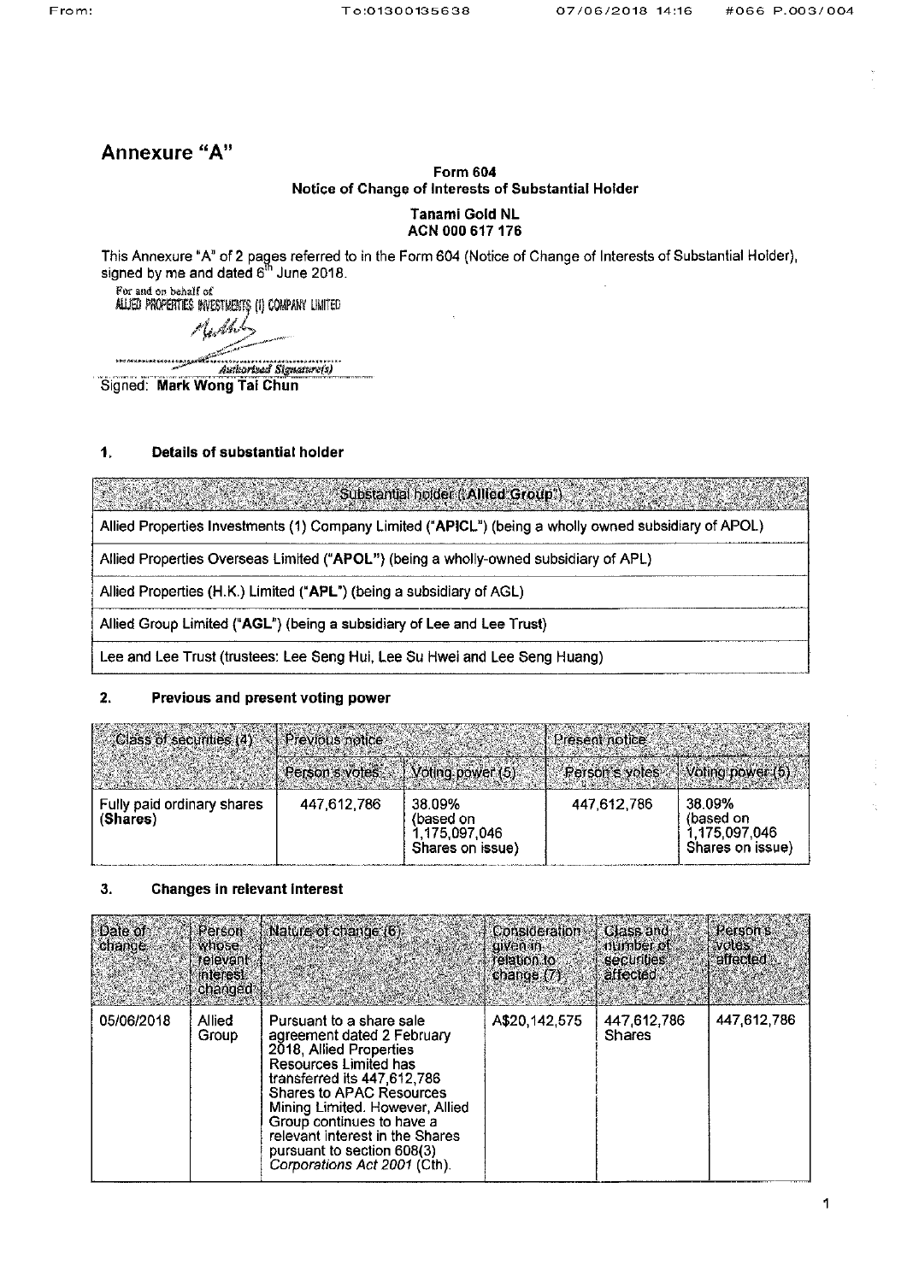# Annexure "A"

## **Form 604** Notice of Change of Interests of Substantial Holder

## Tanami Gold NL ACN 000 617 176

This Annexure "A" of 2 pages referred to in the Form 604 (Notice of Change of Interests of Substantial Holder), signed by me and dated 6<sup>th</sup> June 2018.

For and on behalf of ALUED PROPERTIES INVESTMENTS (1) COMPANY LIMITED

 $\mathcal{A}$  . A

Authorized Signature(s)

Signed: Mark Wong Tai Chun

#### $\ddagger$ . Details of substantial holder

Substantial holder ('Allied Group')

Allied Properties Investments (1) Company Limited ("APICL") (being a wholly owned subsidiary of APOL)

Allied Properties Overseas Limited ("APOL") (being a wholly-owned subsidiary of APL)

Allied Properties (H.K.) Limited ("APL") (being a subsidiary of AGL)

Allied Group Limited ("AGL") (being a subsidiary of Lee and Lee Trust)

Lee and Lee Trust (trustees: Lee Seng Hui, Lee Su Hwei and Lee Seng Huang)

#### $2.$ Previous and present voting power

| Class of securities (4) Previous notices |             |                                                          | Present notice |                                                          |
|------------------------------------------|-------------|----------------------------------------------------------|----------------|----------------------------------------------------------|
|                                          |             | Person's votes   Voting power (5)                        |                | Ferson's votes $\setminus$ Voting power (5)              |
| Fully paid ordinary shares<br>(Shares)   | 447,612,786 | 38.09%<br>(based on<br>1,175,097,046<br>Shares on issue) | 447,612,786    | 38.09%<br>(based on<br>1,175,097,046<br>Shares on issue) |

#### $3.$ **Changes in relevant interest**

| <b>Date of</b><br>change. | Person<br>whose.<br>relevant.<br>interest.<br>changed <sup>®</sup> | Nature of change (6).                                                                                                                                                                                                                                                                                                                         | Consideration<br><b>QIVEN IN SAC</b><br>relation to<br>change $(7)$ | Class and<br>number of a<br>securities<br>affected | Person's<br><b>Wotes</b><br>affected - |
|---------------------------|--------------------------------------------------------------------|-----------------------------------------------------------------------------------------------------------------------------------------------------------------------------------------------------------------------------------------------------------------------------------------------------------------------------------------------|---------------------------------------------------------------------|----------------------------------------------------|----------------------------------------|
| 05/06/2018                | <b>Allied</b><br>Group                                             | Pursuant to a share sale<br>agreement dated 2 February<br>2018, Allied Properties<br>Resources Limited has<br>transferred its 447.612.786<br><b>Shares to APAC Resources</b><br>Mining Limited. However, Allied<br>Group continues to have a<br>relevant interest in the Shares<br>pursuant to section 608(3)<br>Corporations Act 2001 (Cth). | A\$20,142.575                                                       | 447,612,786<br><b>Shares</b>                       | 447,612,786                            |